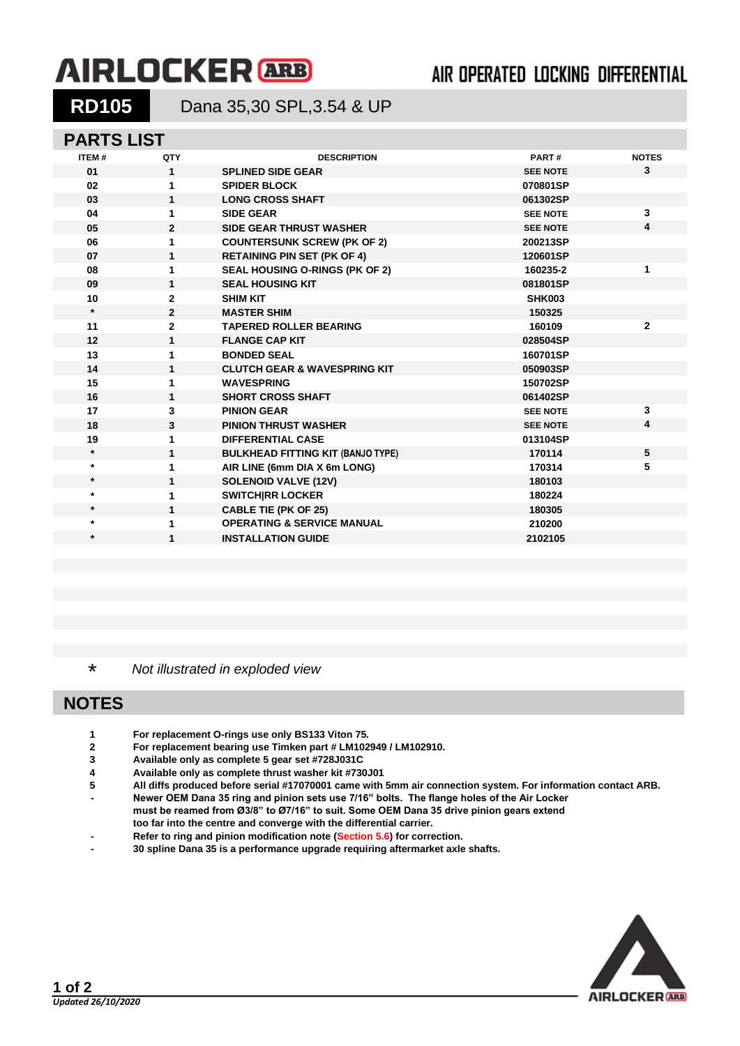# **AIRLOCKER ARB**

## AIR OPERATED LOCKING DIFFERENTIAL

**RD105** Dana 35,30 SPL,3.54 & UP

### **PARTS LIST**

| <b>ITEM#</b> | QTY            | <b>DESCRIPTION</b>                       | PART#           | <b>NOTES</b> |
|--------------|----------------|------------------------------------------|-----------------|--------------|
| 01           | $\mathbf{1}$   | <b>SPLINED SIDE GEAR</b>                 | <b>SEE NOTE</b> | $\mathbf{3}$ |
| 02           | 1              | <b>SPIDER BLOCK</b>                      | 070801SP        |              |
| 03           | 1              | <b>LONG CROSS SHAFT</b>                  | 061302SP        |              |
| 04           | 1              | <b>SIDE GEAR</b>                         | <b>SEE NOTE</b> | 3            |
| 05           | $\mathbf{2}$   | <b>SIDE GEAR THRUST WASHER</b>           | <b>SEE NOTE</b> | 4            |
| 06           | 1              | <b>COUNTERSUNK SCREW (PK OF 2)</b>       | 200213SP        |              |
| 07           | 1              | <b>RETAINING PIN SET (PK OF 4)</b>       | 120601SP        |              |
| 08           | 1              | <b>SEAL HOUSING O-RINGS (PK OF 2)</b>    | 160235-2        | 1            |
| 09           | 1              | <b>SEAL HOUSING KIT</b>                  | 081801SP        |              |
| 10           | $\mathbf{2}$   | <b>SHIM KIT</b>                          | <b>SHK003</b>   |              |
| $\star$      | $\overline{2}$ | <b>MASTER SHIM</b>                       | 150325          |              |
| 11           | $\mathbf{2}$   | <b>TAPERED ROLLER BEARING</b>            | 160109          | $\mathbf{2}$ |
| 12           | $\mathbf{1}$   | <b>FLANGE CAP KIT</b>                    | 028504SP        |              |
| 13           | 1              | <b>BONDED SEAL</b>                       | 160701SP        |              |
| 14           | 1              | <b>CLUTCH GEAR &amp; WAVESPRING KIT</b>  | 050903SP        |              |
| 15           | 1              | <b>WAVESPRING</b>                        | 150702SP        |              |
| 16           | 1              | <b>SHORT CROSS SHAFT</b>                 | 061402SP        |              |
| 17           | 3              | <b>PINION GEAR</b>                       | <b>SEE NOTE</b> | 3            |
| 18           | 3              | <b>PINION THRUST WASHER</b>              | <b>SEE NOTE</b> | 4            |
| 19           | 1              | <b>DIFFERENTIAL CASE</b>                 | 013104SP        |              |
| $\star$      | 1              | <b>BULKHEAD FITTING KIT (BANJO TYPE)</b> | 170114          | 5            |
| $\star$      | 1              | AIR LINE (6mm DIA X 6m LONG)             | 170314          | 5            |
| $\star$      | 1              | <b>SOLENOID VALVE (12V)</b>              | 180103          |              |
| $\star$      | 1              | <b>SWITCH RR LOCKER</b>                  | 180224          |              |
| $\star$      | 1              | <b>CABLE TIE (PK OF 25)</b>              | 180305          |              |
| $\star$      | 1              | <b>OPERATING &amp; SERVICE MANUAL</b>    | 210200          |              |
| $\star$      | 1              | <b>INSTALLATION GUIDE</b>                | 2102105         |              |
|              |                |                                          |                 |              |

\* *Not illustrated in exploded view*

## **NOTES**

- **1 For replacement O-rings use only BS133 Viton 75.**
- **2 For replacement bearing use Timken part # LM102949 / LM102910.**
- **3 Available only as complete 5 gear set #728J031C**
- **4 Available only as complete thrust washer kit #730J01**
- **5 All diffs produced before serial #17070001 came with 5mm air connection system. For information contact ARB.**
- **- Newer OEM Dana 35 ring and pinion sets use 7/16" bolts. The flange holes of the Air Locker must be reamed from Ø3/8" to Ø7/16" to suit. Some OEM Dana 35 drive pinion gears extend too far into the centre and converge with the differential carrier.**
- **- Refer to ring and pinion modification note [\(Section 5.6\)](5-06.pdf) for correction.**
- **- 30 spline Dana 35 is a performance upgrade requiring aftermarket axle shafts.**